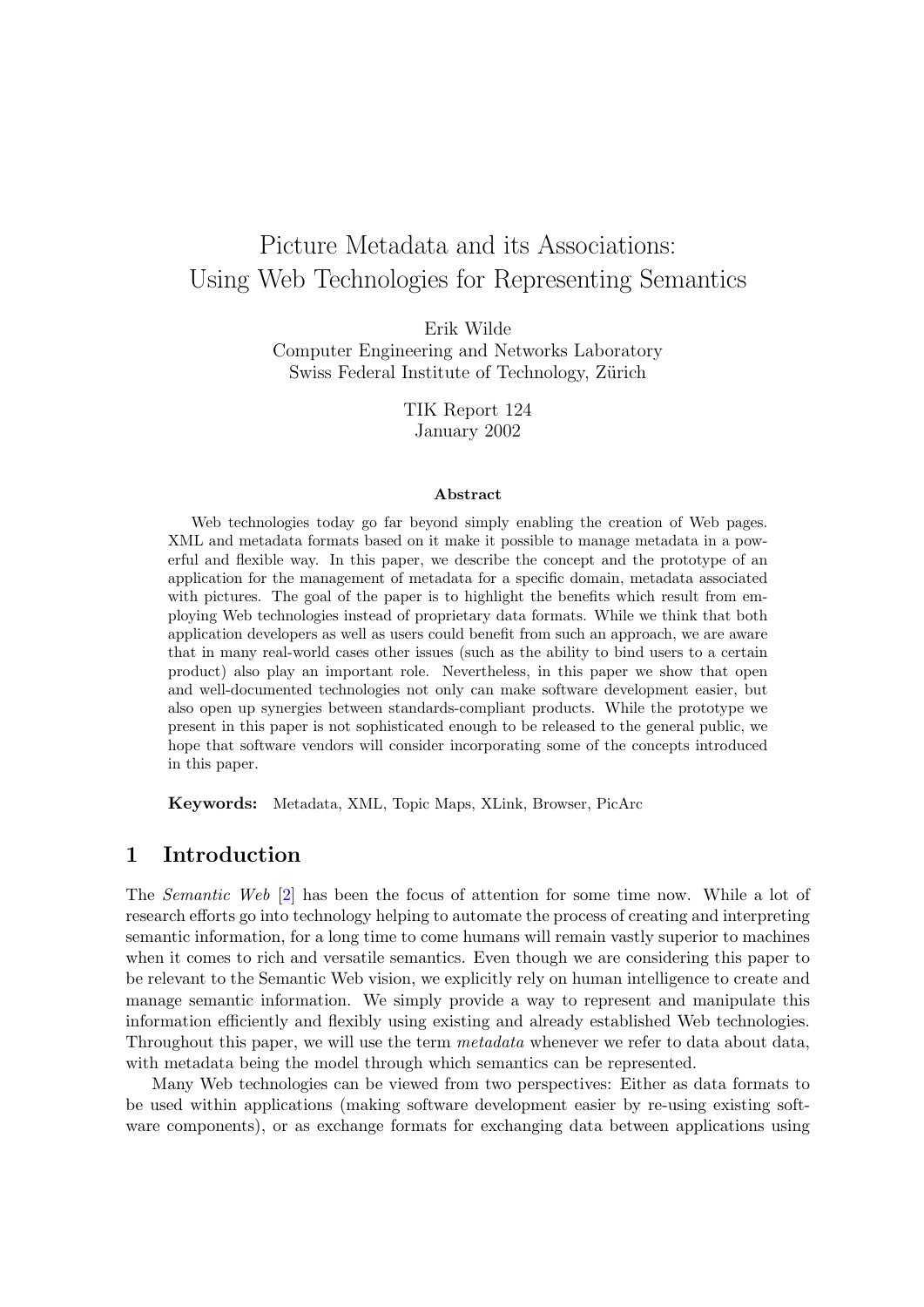# Picture Metadata and its Associations: Using Web Technologies for Representing Semantics

Erik Wilde

Computer Engineering and Networks Laboratory Swiss Federal Institute of Technology, Zürich

> TIK Report 124 January 2002

#### Abstract

Web technologies today go far beyond simply enabling the creation of Web pages. XML and metadata formats based on it make it possible to manage metadata in a powerful and flexible way. In this paper, we describe the concept and the prototype of an application for the management of metadata for a specific domain, metadata associated with pictures. The goal of the paper is to highlight the benefits which result from employing Web technologies instead of proprietary data formats. While we think that both application developers as well as users could benefit from such an approach, we are aware that in many real-world cases other issues (such as the ability to bind users to a certain product) also play an important role. Nevertheless, in this paper we show that open and well-documented technologies not only can make software development easier, but also open up synergies between standards-compliant products. While the prototype we present in this paper is not sophisticated enough to be released to the general public, we hope that software vendors will consider incorporating some of the concepts introduced in this paper.

Keywords: Metadata, XML, Topic Maps, XLink, Browser, PicArc

# 1 Introduction

The Semantic Web [\[2\]](#page-13-0) has been the focus of attention for some time now. While a lot of research efforts go into technology helping to automate the process of creating and interpreting semantic information, for a long time to come humans will remain vastly superior to machines when it comes to rich and versatile semantics. Even though we are considering this paper to be relevant to the Semantic Web vision, we explicitly rely on human intelligence to create and manage semantic information. We simply provide a way to represent and manipulate this information efficiently and flexibly using existing and already established Web technologies. Throughout this paper, we will use the term *metadata* whenever we refer to data about data, with metadata being the model through which semantics can be represented.

Many Web technologies can be viewed from two perspectives: Either as data formats to be used within applications (making software development easier by re-using existing software components), or as exchange formats for exchanging data between applications using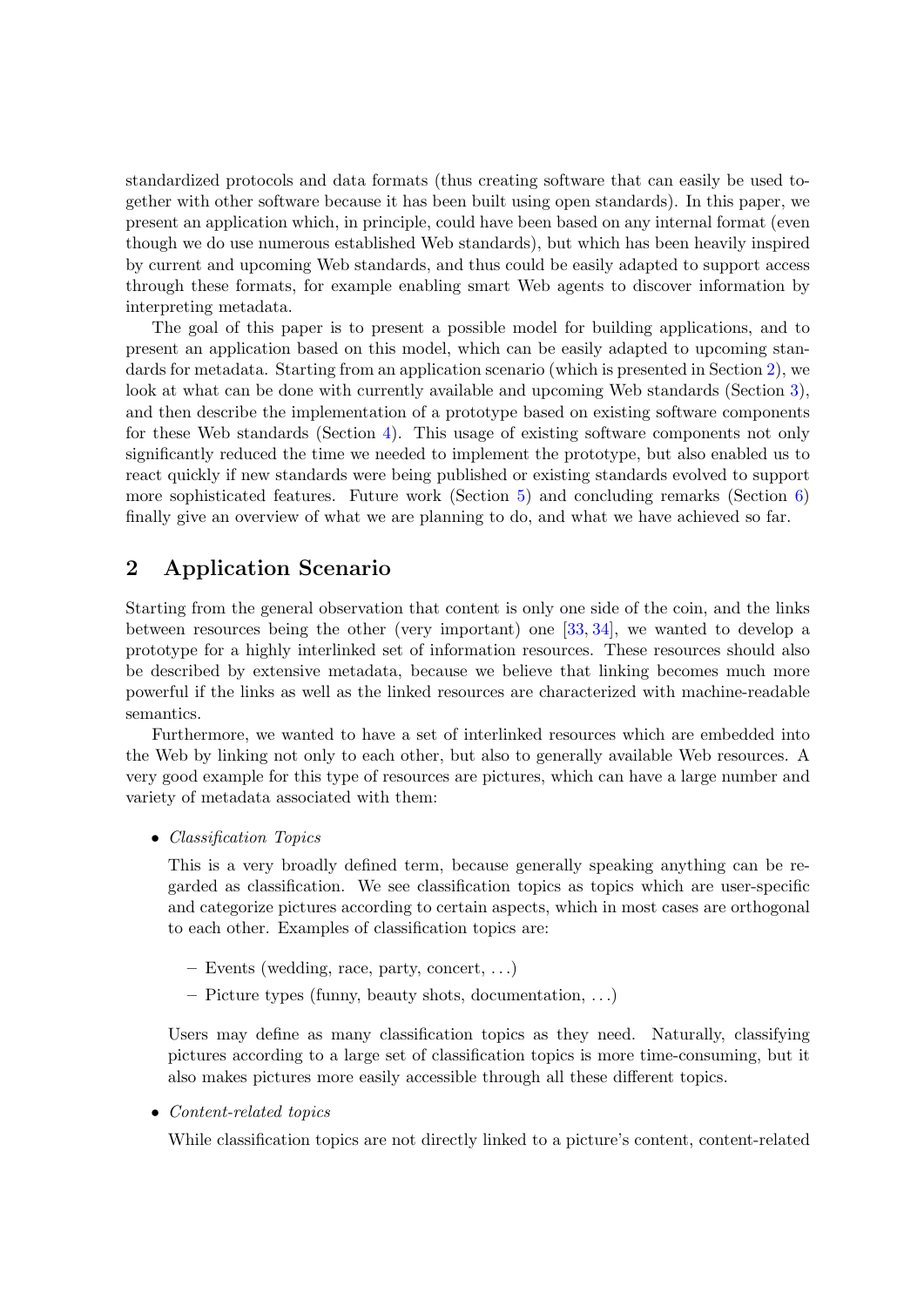<span id="page-1-0"></span>standardized protocols and data formats (thus creating software that can easily be used together with other software because it has been built using open standards). In this paper, we present an application which, in principle, could have been based on any internal format (even though we do use numerous established Web standards), but which has been heavily inspired by current and upcoming Web standards, and thus could be easily adapted to support access through these formats, for example enabling smart Web agents to discover information by interpreting metadata.

The goal of this paper is to present a possible model for building applications, and to present an application based on this model, which can be easily adapted to upcoming standards for metadata. Starting from an application scenario (which is presented in Section 2), we look at what can be done with currently available and upcoming Web standards (Section [3\)](#page-3-0), and then describe the implementation of a prototype based on existing software components for these Web standards (Section [4\)](#page-6-0). This usage of existing software components not only significantly reduced the time we needed to implement the prototype, but also enabled us to react quickly if new standards were being published or existing standards evolved to support more sophisticated features. Future work (Section [5\)](#page-11-0) and concluding remarks (Section [6\)](#page-12-0) finally give an overview of what we are planning to do, and what we have achieved so far.

# 2 Application Scenario

Starting from the general observation that content is only one side of the coin, and the links between resources being the other (very important) one [\[33,](#page-14-0) [34\]](#page-14-0), we wanted to develop a prototype for a highly interlinked set of information resources. These resources should also be described by extensive metadata, because we believe that linking becomes much more powerful if the links as well as the linked resources are characterized with machine-readable semantics.

Furthermore, we wanted to have a set of interlinked resources which are embedded into the Web by linking not only to each other, but also to generally available Web resources. A very good example for this type of resources are pictures, which can have a large number and variety of metadata associated with them:

• Classification Topics

This is a very broadly defined term, because generally speaking anything can be regarded as classification. We see classification topics as topics which are user-specific and categorize pictures according to certain aspects, which in most cases are orthogonal to each other. Examples of classification topics are:

- Events (wedding, race, party, concert, . . .)
- Picture types (funny, beauty shots, documentation, . . .)

Users may define as many classification topics as they need. Naturally, classifying pictures according to a large set of classification topics is more time-consuming, but it also makes pictures more easily accessible through all these different topics.

• Content-related topics

While classification topics are not directly linked to a picture's content, content-related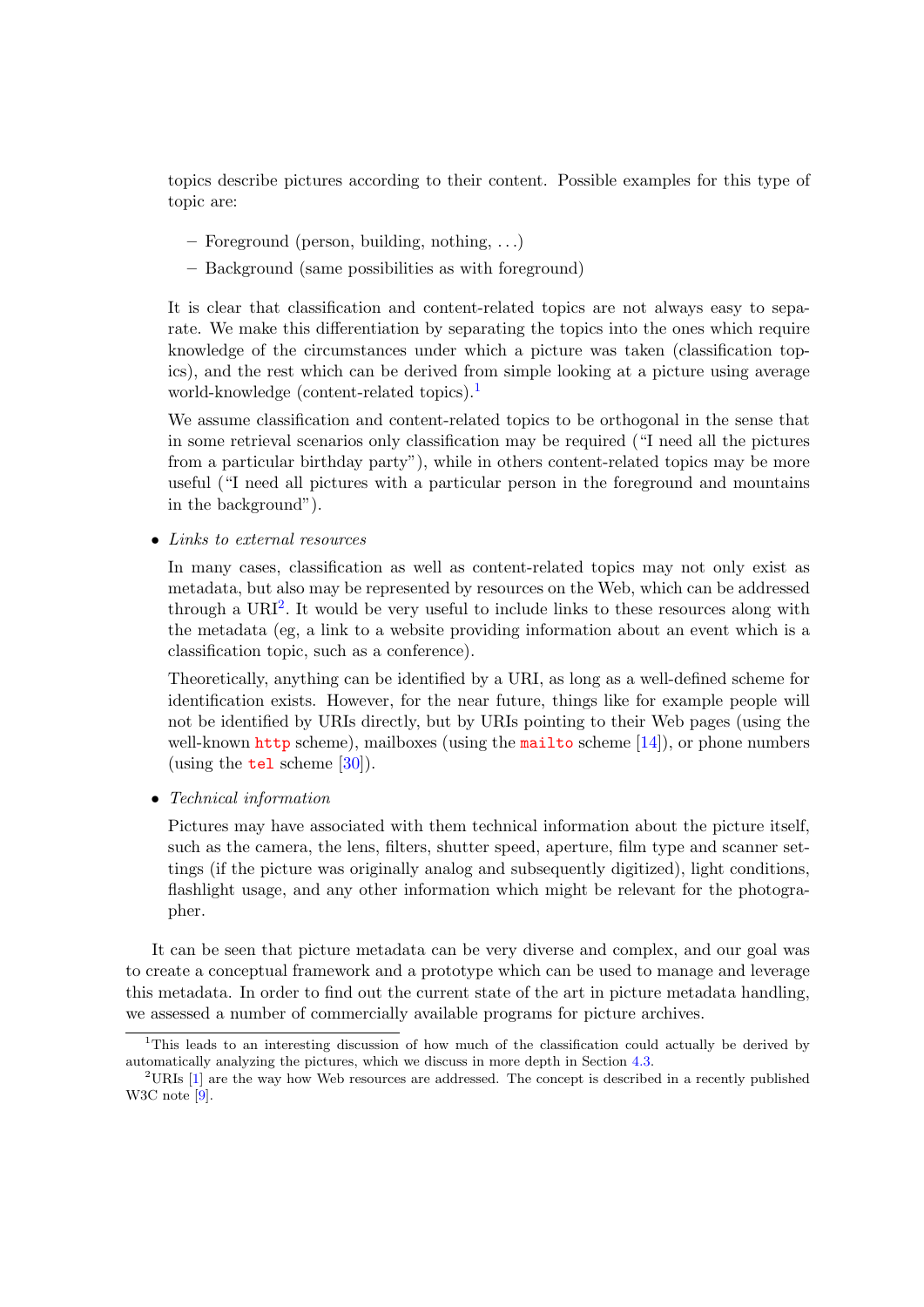topics describe pictures according to their content. Possible examples for this type of topic are:

- Foreground (person, building, nothing, . . .)
- Background (same possibilities as with foreground)

It is clear that classification and content-related topics are not always easy to separate. We make this differentiation by separating the topics into the ones which require knowledge of the circumstances under which a picture was taken (classification topics), and the rest which can be derived from simple looking at a picture using average world-knowledge (content-related topics).<sup>1</sup>

We assume classification and content-related topics to be orthogonal in the sense that in some retrieval scenarios only classification may be required ("I need all the pictures from a particular birthday party"), while in others content-related topics may be more useful ("I need all pictures with a particular person in the foreground and mountains in the background").

• Links to external resources

In many cases, classification as well as content-related topics may not only exist as metadata, but also may be represented by resources on the Web, which can be addressed through a  $\text{URI}^2$ . It would be very useful to include links to these resources along with the metadata (eg, a link to a website providing information about an event which is a classification topic, such as a conference).

Theoretically, anything can be identified by a URI, as long as a well-defined scheme for identification exists. However, for the near future, things like for example people will not be identified by URIs directly, but by URIs pointing to their Web pages (using the well-known <http> scheme), mailboxes (using the <mailto> scheme  $[14]$ ), or phone numbers (using the **<tel>** scheme  $[30]$ ).

• Technical information

Pictures may have associated with them technical information about the picture itself, such as the camera, the lens, filters, shutter speed, aperture, film type and scanner settings (if the picture was originally analog and subsequently digitized), light conditions, flashlight usage, and any other information which might be relevant for the photographer.

It can be seen that picture metadata can be very diverse and complex, and our goal was to create a conceptual framework and a prototype which can be used to manage and leverage this metadata. In order to find out the current state of the art in picture metadata handling, we assessed a number of commercially available programs for picture archives.

<sup>&</sup>lt;sup>1</sup>This leads to an interesting discussion of how much of the classification could actually be derived by automatically analyzing the pictures, which we discuss in more depth in Section [4.3.](#page-9-0)

<sup>&</sup>lt;sup>2</sup>URIs [\[1\]](#page-13-0) are the way how Web resources are addressed. The concept is described in a recently published W3C note [\[9\]](#page-13-0).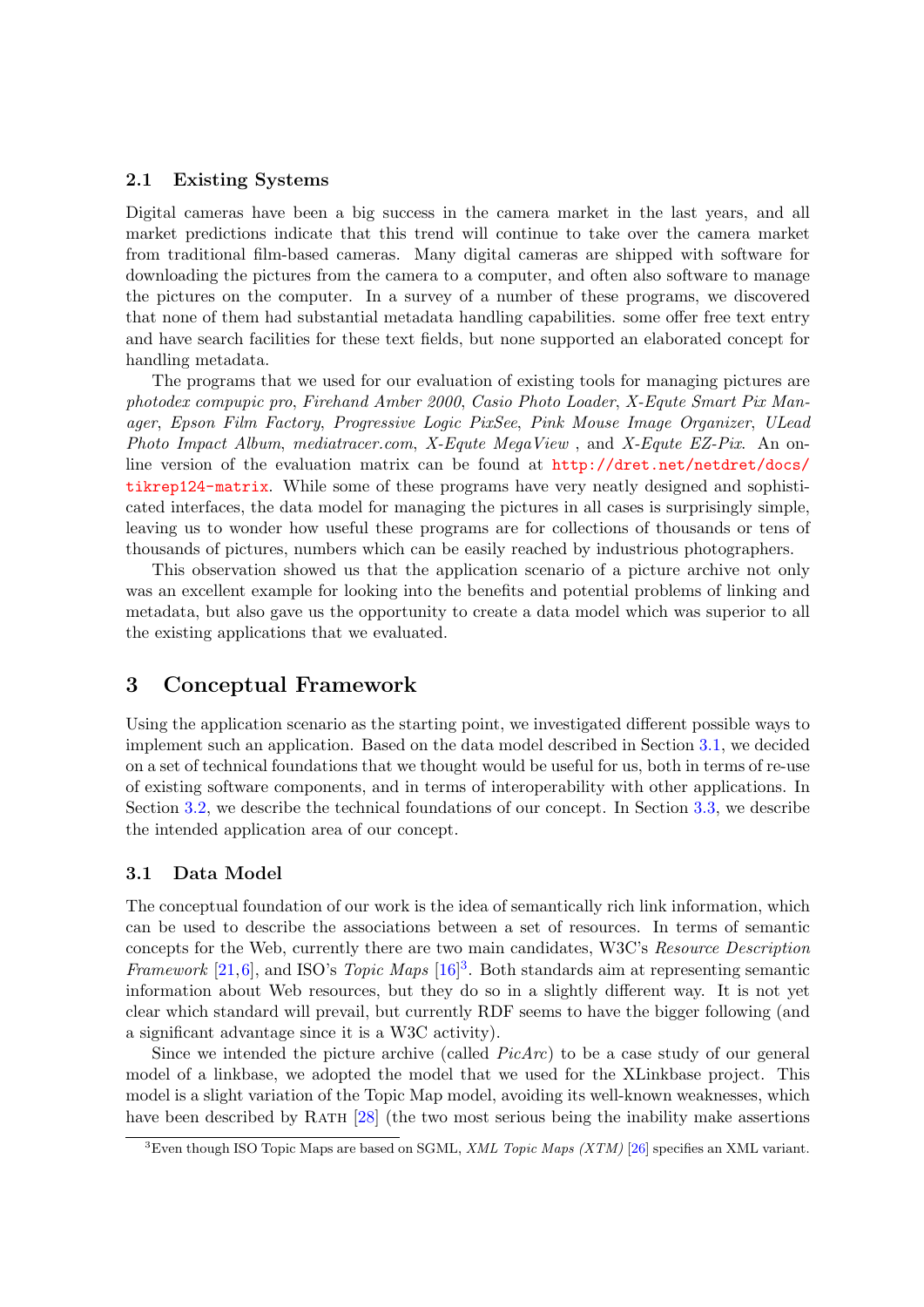#### <span id="page-3-0"></span>2.1 Existing Systems

Digital cameras have been a big success in the camera market in the last years, and all market predictions indicate that this trend will continue to take over the camera market from traditional film-based cameras. Many digital cameras are shipped with software for downloading the pictures from the camera to a computer, and often also software to manage the pictures on the computer. In a survey of a number of these programs, we discovered that none of them had substantial metadata handling capabilities. some offer free text entry and have search facilities for these text fields, but none supported an elaborated concept for handling metadata.

The programs that we used for our evaluation of existing tools for managing pictures are photodex compupic pro, Firehand Amber 2000, Casio Photo Loader, X-Equte Smart Pix Manager, Epson Film Factory, Progressive Logic PixSee, Pink Mouse Image Organizer, ULead Photo Impact Album, mediatracer.com, X-Equte MegaView , and X-Equte EZ-Pix. An online version of the evaluation matrix can be found at [http://dret.net/netdret/docs/](http://dret.net/netdret/docs/tikrep124-matrix) [tikrep124-matrix](http://dret.net/netdret/docs/tikrep124-matrix). While some of these programs have very neatly designed and sophisticated interfaces, the data model for managing the pictures in all cases is surprisingly simple, leaving us to wonder how useful these programs are for collections of thousands or tens of thousands of pictures, numbers which can be easily reached by industrious photographers.

This observation showed us that the application scenario of a picture archive not only was an excellent example for looking into the benefits and potential problems of linking and metadata, but also gave us the opportunity to create a data model which was superior to all the existing applications that we evaluated.

## 3 Conceptual Framework

Using the application scenario as the starting point, we investigated different possible ways to implement such an application. Based on the data model described in Section 3.1, we decided on a set of technical foundations that we thought would be useful for us, both in terms of re-use of existing software components, and in terms of interoperability with other applications. In Section [3.2,](#page-5-0) we describe the technical foundations of our concept. In Section [3.3,](#page-5-0) we describe the intended application area of our concept.

#### 3.1 Data Model

The conceptual foundation of our work is the idea of semantically rich link information, which can be used to describe the associations between a set of resources. In terms of semantic concepts for the Web, currently there are two main candidates, W3C's Resource Description Framework [\[21,](#page-14-0)[6\]](#page-13-0), and ISO's Topic Maps  $[16]^{3}$  $[16]^{3}$ . Both standards aim at representing semantic information about Web resources, but they do so in a slightly different way. It is not yet clear which standard will prevail, but currently RDF seems to have the bigger following (and a significant advantage since it is a W3C activity).

Since we intended the picture archive (called  $PicArc)$  to be a case study of our general model of a linkbase, we adopted the model that we used for the XLinkbase project. This model is a slight variation of the Topic Map model, avoiding its well-known weaknesses, which have been described by RATH [\[28\]](#page-14-0) (the two most serious being the inability make assertions

<sup>&</sup>lt;sup>3</sup>Even though ISO Topic Maps are based on SGML, *XML Topic Maps (XTM)* [\[26\]](#page-14-0) specifies an XML variant.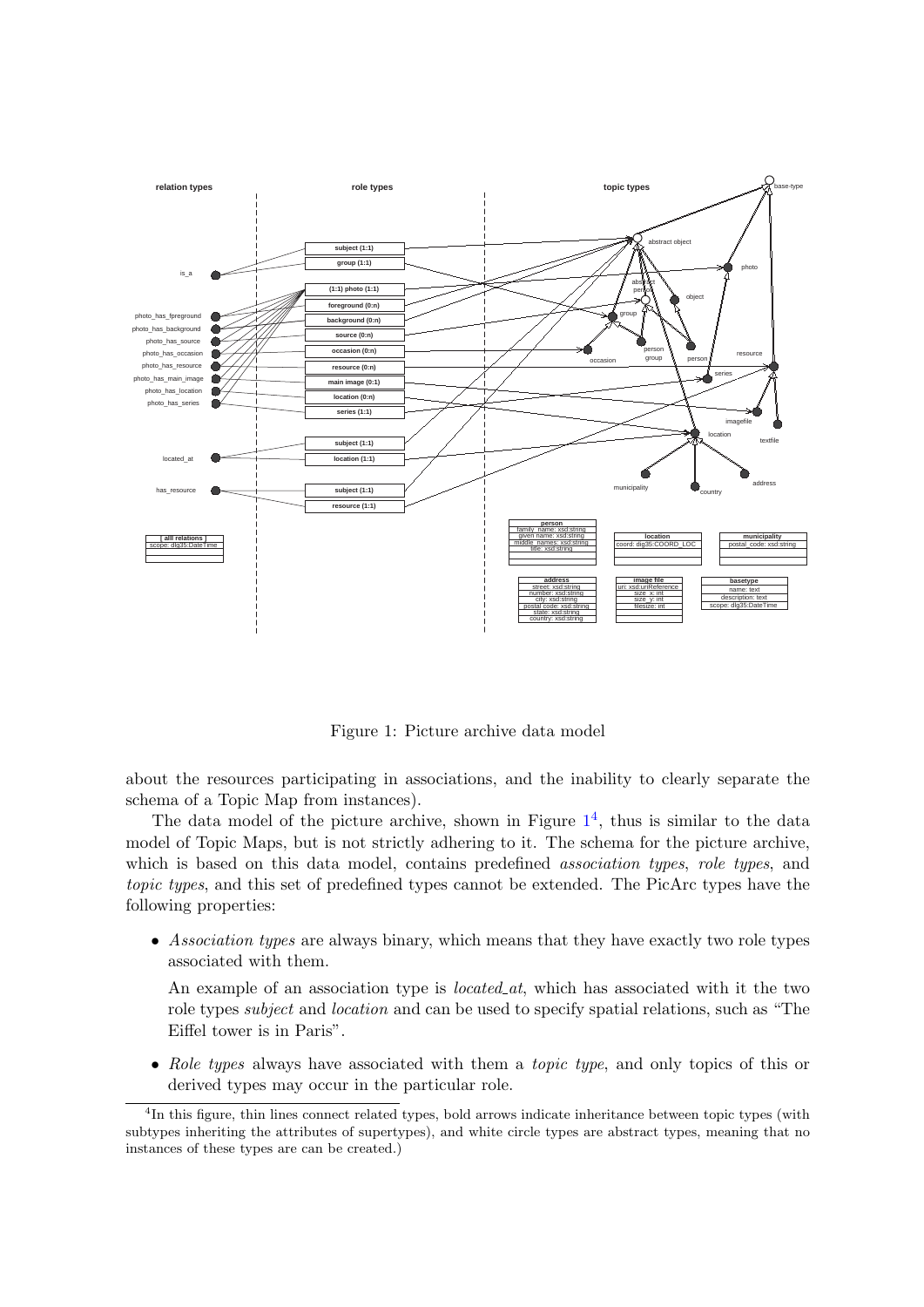<span id="page-4-0"></span>

Figure 1: Picture archive data model

about the resources participating in associations, and the inability to clearly separate the schema of a Topic Map from instances).

The data model of the picture archive, shown in Figure  $1<sup>4</sup>$ , thus is similar to the data model of Topic Maps, but is not strictly adhering to it. The schema for the picture archive, which is based on this data model, contains predefined *association types*, *role types*, and topic types, and this set of predefined types cannot be extended. The PicArc types have the following properties:

• Association types are always binary, which means that they have exactly two role types associated with them.

An example of an association type is *located at*, which has associated with it the two role types subject and location and can be used to specify spatial relations, such as "The Eiffel tower is in Paris".

• Role types always have associated with them a *topic type*, and only topics of this or derived types may occur in the particular role.

<sup>&</sup>lt;sup>4</sup>In this figure, thin lines connect related types, bold arrows indicate inheritance between topic types (with subtypes inheriting the attributes of supertypes), and white circle types are abstract types, meaning that no instances of these types are can be created.)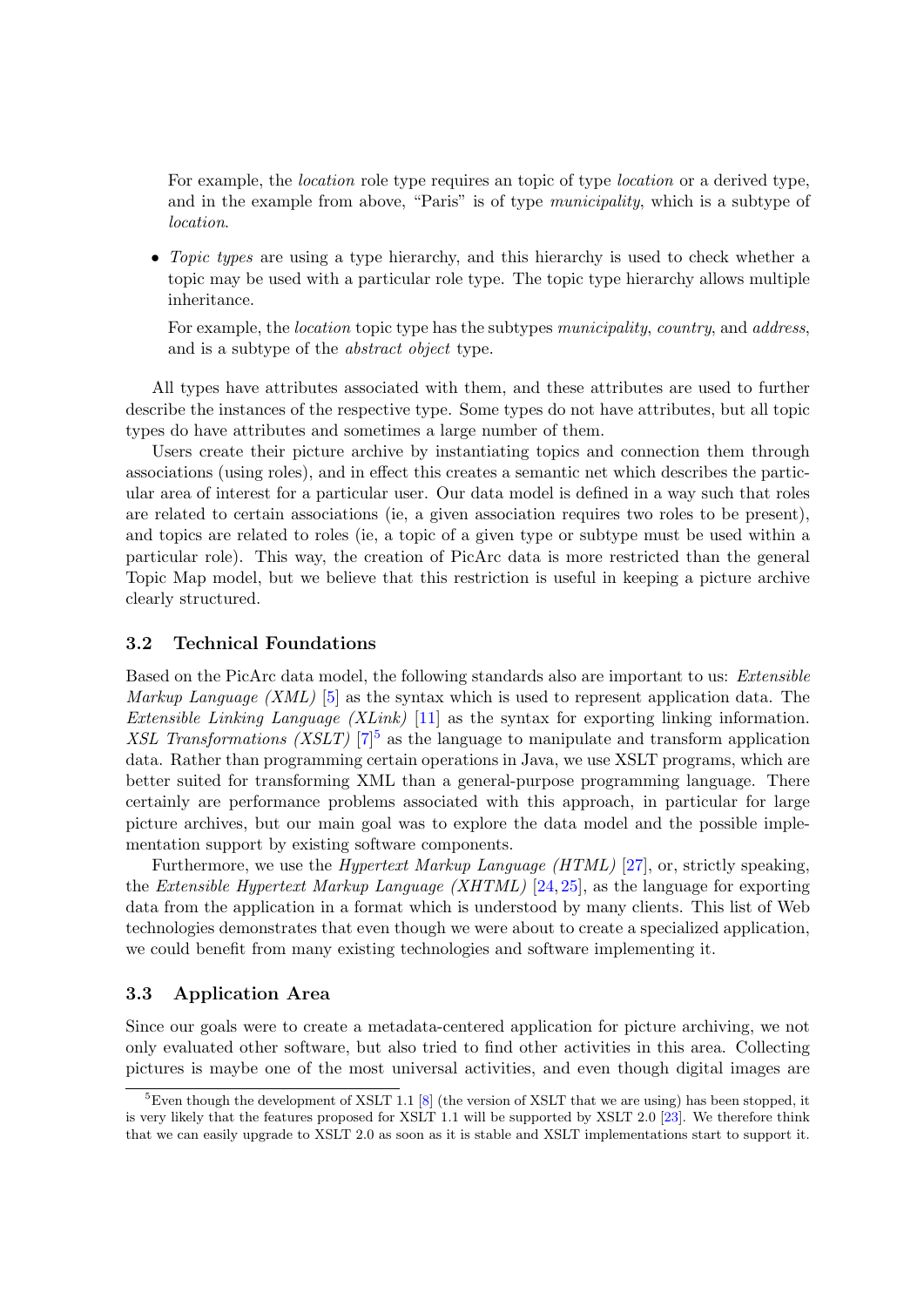<span id="page-5-0"></span>For example, the *location* role type requires an topic of type *location* or a derived type, and in the example from above, "Paris" is of type municipality, which is a subtype of location.

• Topic types are using a type hierarchy, and this hierarchy is used to check whether a topic may be used with a particular role type. The topic type hierarchy allows multiple inheritance.

For example, the *location* topic type has the subtypes municipality, country, and address, and is a subtype of the abstract object type.

All types have attributes associated with them, and these attributes are used to further describe the instances of the respective type. Some types do not have attributes, but all topic types do have attributes and sometimes a large number of them.

Users create their picture archive by instantiating topics and connection them through associations (using roles), and in effect this creates a semantic net which describes the particular area of interest for a particular user. Our data model is defined in a way such that roles are related to certain associations (ie, a given association requires two roles to be present), and topics are related to roles (ie, a topic of a given type or subtype must be used within a particular role). This way, the creation of PicArc data is more restricted than the general Topic Map model, but we believe that this restriction is useful in keeping a picture archive clearly structured.

#### 3.2 Technical Foundations

Based on the PicArc data model, the following standards also are important to us: Extensible *Markup Language (XML)* [\[5\]](#page-13-0) as the syntax which is used to represent application data. The *Extensible Linking Language (XLink)* [\[11\]](#page-13-0) as the syntax for exporting linking information. XSL Transformations (XSLT)  $[7]^5$  $[7]^5$  as the language to manipulate and transform application data. Rather than programming certain operations in Java, we use XSLT programs, which are better suited for transforming XML than a general-purpose programming language. There certainly are performance problems associated with this approach, in particular for large picture archives, but our main goal was to explore the data model and the possible implementation support by existing software components.

Furthermore, we use the Hypertext Markup Language (HTML) [\[27\]](#page-14-0), or, strictly speaking, the *Extensible Hypertext Markup Language (XHTML)* [\[24,](#page-14-0) [25\]](#page-14-0), as the language for exporting data from the application in a format which is understood by many clients. This list of Web technologies demonstrates that even though we were about to create a specialized application, we could benefit from many existing technologies and software implementing it.

#### 3.3 Application Area

Since our goals were to create a metadata-centered application for picture archiving, we not only evaluated other software, but also tried to find other activities in this area. Collecting pictures is maybe one of the most universal activities, and even though digital images are

 ${}^{5}$ Even though the development of XSLT 1.1 [\[8\]](#page-13-0) (the version of XSLT that we are using) has been stopped, it is very likely that the features proposed for XSLT 1.1 will be supported by XSLT 2.0 [\[23\]](#page-14-0). We therefore think that we can easily upgrade to XSLT 2.0 as soon as it is stable and XSLT implementations start to support it.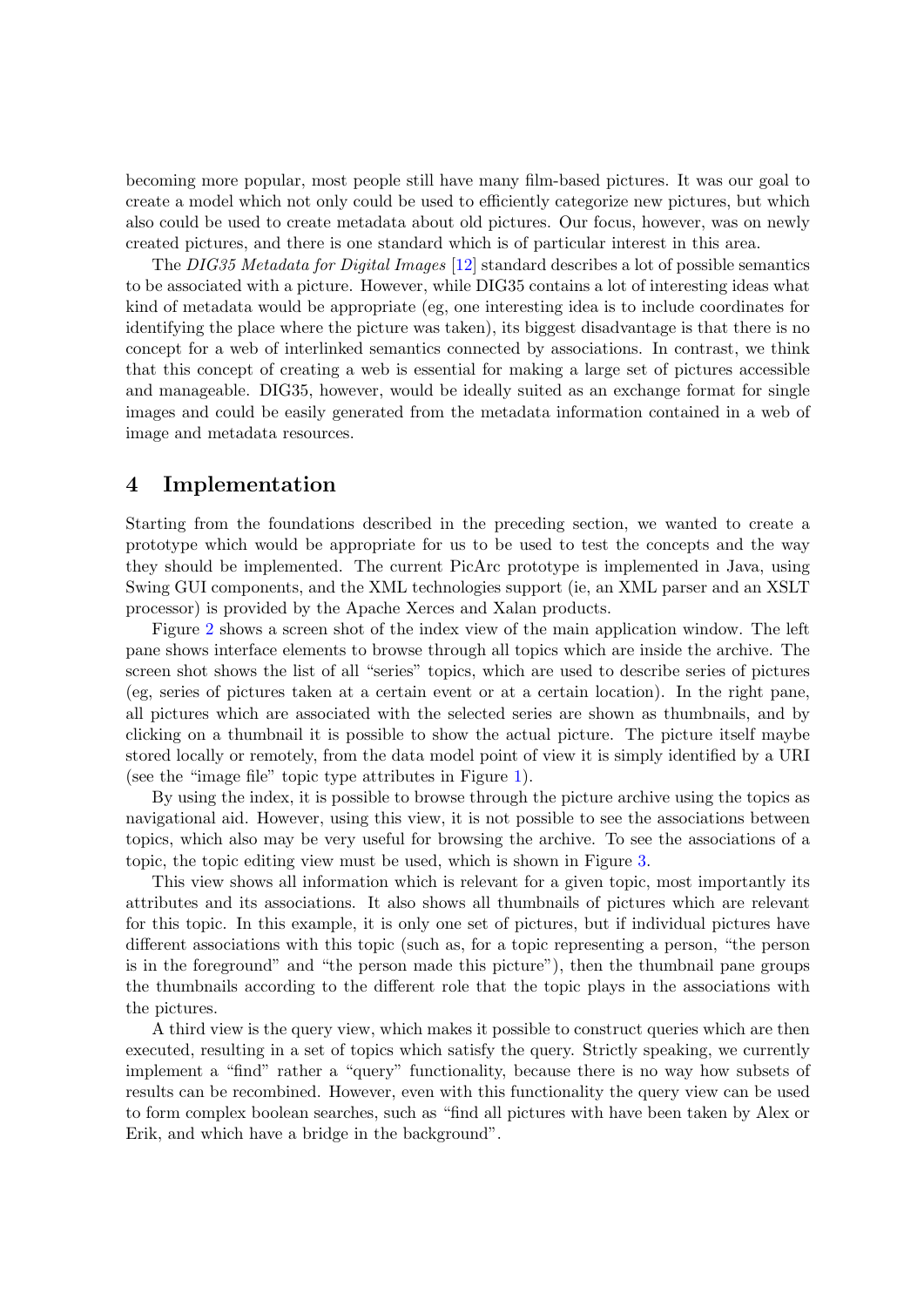<span id="page-6-0"></span>becoming more popular, most people still have many film-based pictures. It was our goal to create a model which not only could be used to efficiently categorize new pictures, but which also could be used to create metadata about old pictures. Our focus, however, was on newly created pictures, and there is one standard which is of particular interest in this area.

The DIG35 Metadata for Digital Images [\[12\]](#page-13-0) standard describes a lot of possible semantics to be associated with a picture. However, while DIG35 contains a lot of interesting ideas what kind of metadata would be appropriate (eg, one interesting idea is to include coordinates for identifying the place where the picture was taken), its biggest disadvantage is that there is no concept for a web of interlinked semantics connected by associations. In contrast, we think that this concept of creating a web is essential for making a large set of pictures accessible and manageable. DIG35, however, would be ideally suited as an exchange format for single images and could be easily generated from the metadata information contained in a web of image and metadata resources.

## 4 Implementation

Starting from the foundations described in the preceding section, we wanted to create a prototype which would be appropriate for us to be used to test the concepts and the way they should be implemented. The current PicArc prototype is implemented in Java, using Swing GUI components, and the XML technologies support (ie, an XML parser and an XSLT processor) is provided by the Apache Xerces and Xalan products.

Figure [2](#page-7-0) shows a screen shot of the index view of the main application window. The left pane shows interface elements to browse through all topics which are inside the archive. The screen shot shows the list of all "series" topics, which are used to describe series of pictures (eg, series of pictures taken at a certain event or at a certain location). In the right pane, all pictures which are associated with the selected series are shown as thumbnails, and by clicking on a thumbnail it is possible to show the actual picture. The picture itself maybe stored locally or remotely, from the data model point of view it is simply identified by a URI (see the "image file" topic type attributes in Figure [1\)](#page-4-0).

By using the index, it is possible to browse through the picture archive using the topics as navigational aid. However, using this view, it is not possible to see the associations between topics, which also may be very useful for browsing the archive. To see the associations of a topic, the topic editing view must be used, which is shown in Figure [3.](#page-8-0)

This view shows all information which is relevant for a given topic, most importantly its attributes and its associations. It also shows all thumbnails of pictures which are relevant for this topic. In this example, it is only one set of pictures, but if individual pictures have different associations with this topic (such as, for a topic representing a person, "the person is in the foreground" and "the person made this picture"), then the thumbnail pane groups the thumbnails according to the different role that the topic plays in the associations with the pictures.

A third view is the query view, which makes it possible to construct queries which are then executed, resulting in a set of topics which satisfy the query. Strictly speaking, we currently implement a "find" rather a "query" functionality, because there is no way how subsets of results can be recombined. However, even with this functionality the query view can be used to form complex boolean searches, such as "find all pictures with have been taken by Alex or Erik, and which have a bridge in the background".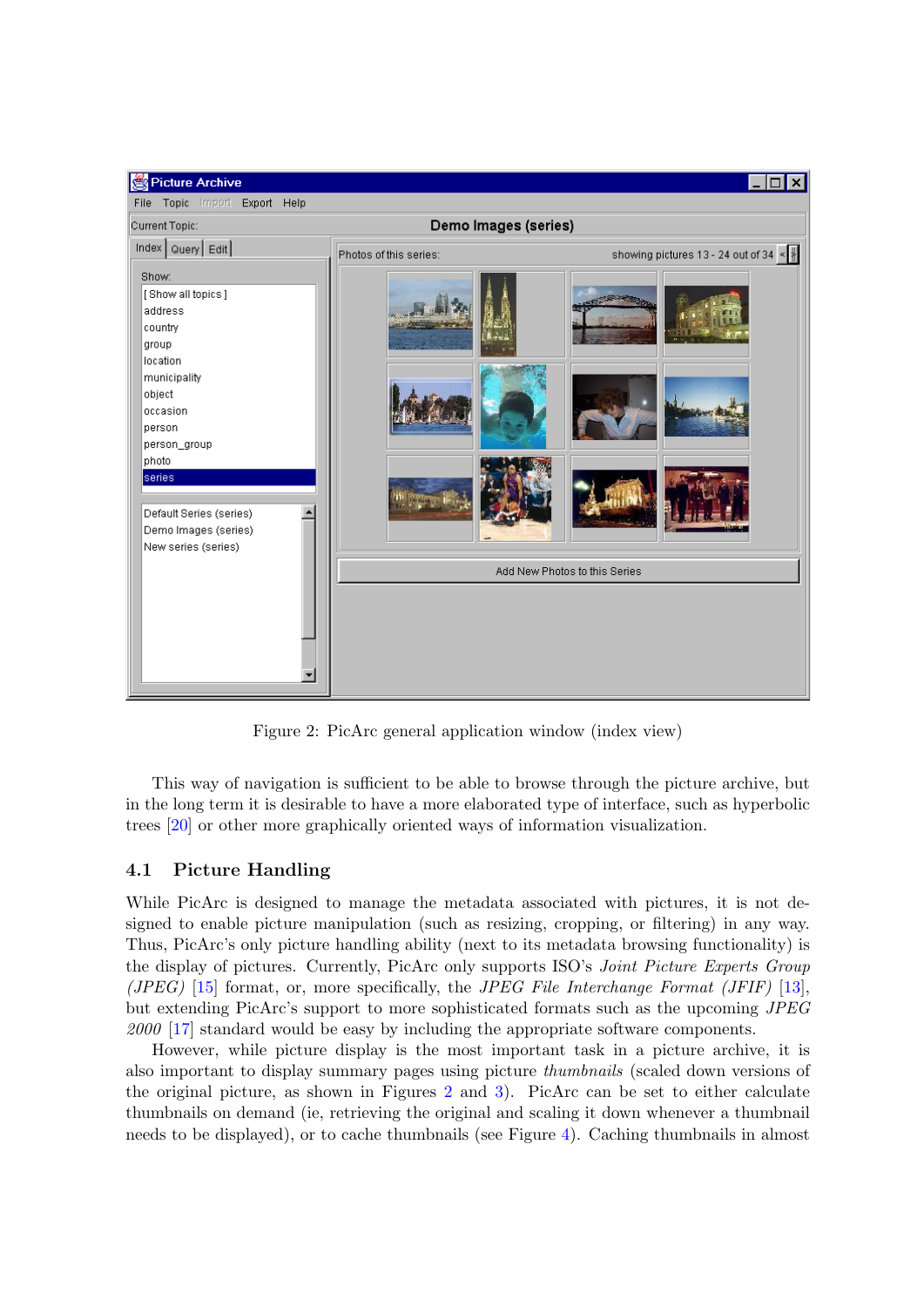<span id="page-7-0"></span>

Figure 2: PicArc general application window (index view)

This way of navigation is sufficient to be able to browse through the picture archive, but in the long term it is desirable to have a more elaborated type of interface, such as hyperbolic trees [\[20\]](#page-14-0) or other more graphically oriented ways of information visualization.

# 4.1 Picture Handling

While PicArc is designed to manage the metadata associated with pictures, it is not designed to enable picture manipulation (such as resizing, cropping, or filtering) in any way. Thus, PicArc's only picture handling ability (next to its metadata browsing functionality) is the display of pictures. Currently, PicArc only supports ISO's Joint Picture Experts Group (*JPEG*) [\[15\]](#page-13-0) format, or, more specifically, the *JPEG File Interchange Format (JFIF)* [\[13\]](#page-13-0), but extending PicArc's support to more sophisticated formats such as the upcoming JPEG 2000 [\[17\]](#page-13-0) standard would be easy by including the appropriate software components.

However, while picture display is the most important task in a picture archive, it is also important to display summary pages using picture thumbnails (scaled down versions of the original picture, as shown in Figures 2 and [3\)](#page-8-0). PicArc can be set to either calculate thumbnails on demand (ie, retrieving the original and scaling it down whenever a thumbnail needs to be displayed), or to cache thumbnails (see Figure [4\)](#page-9-0). Caching thumbnails in almost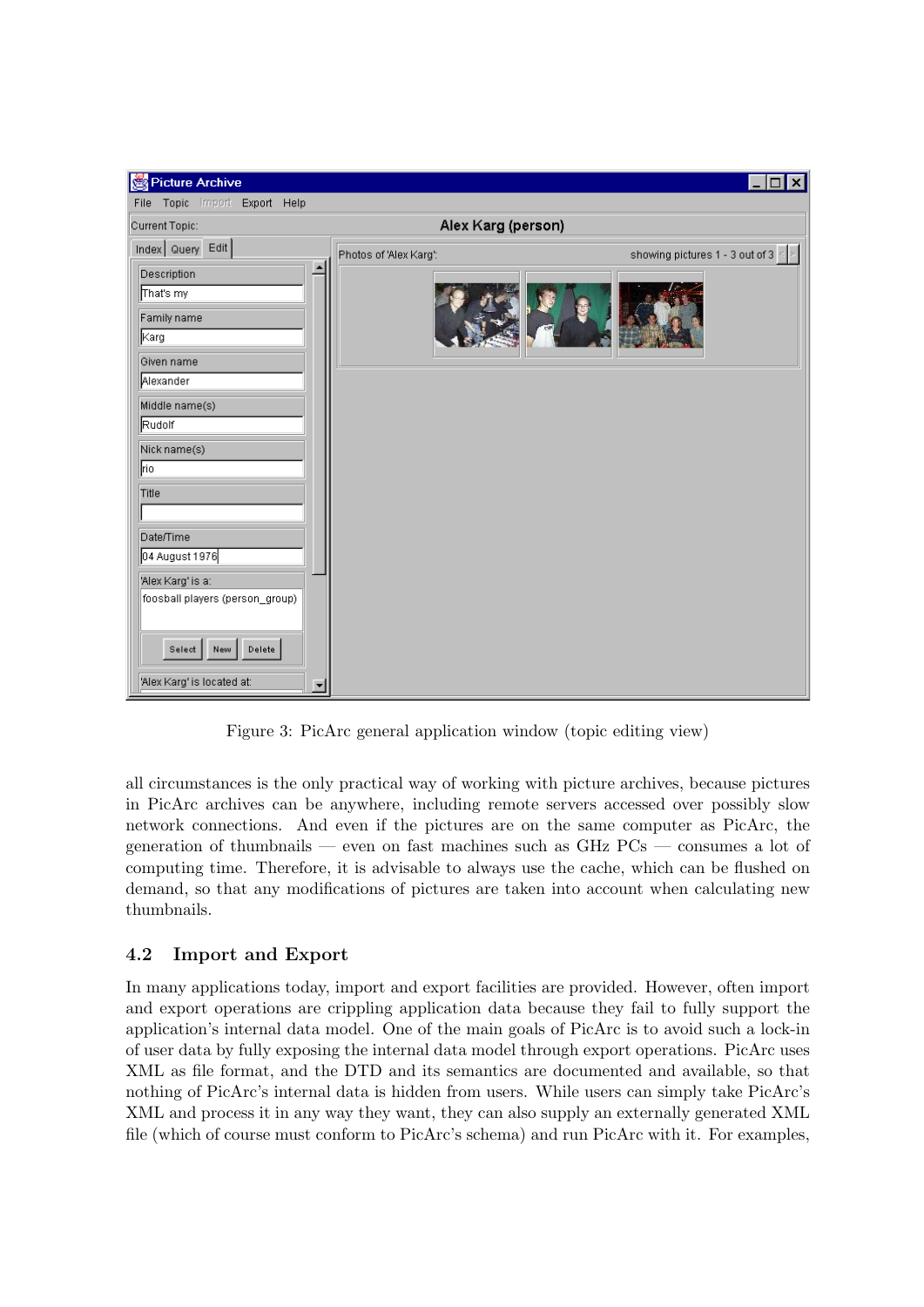<span id="page-8-0"></span>

| Picture Archive                                                                                                                                                                                                                                                               |                        | $\boldsymbol{\mathsf{x}}$                   |
|-------------------------------------------------------------------------------------------------------------------------------------------------------------------------------------------------------------------------------------------------------------------------------|------------------------|---------------------------------------------|
| Topic Import Export Help<br>File                                                                                                                                                                                                                                              |                        |                                             |
| Current Topic:                                                                                                                                                                                                                                                                | Alex Karg (person)     |                                             |
| Index Query Edit                                                                                                                                                                                                                                                              | Photos of 'Alex Karg': | showing pictures 1 - 3 out of 3 $\le$ $\ge$ |
| $\blacktriangle$<br>Description<br>That's my<br>Family name<br>∥Karg<br>Given name<br>Alexander<br>Middle name(s)<br>Rudolf<br>Nick name(s)<br>rio<br>Title<br>Date/Time<br>04 August 1976<br>'Alex Karg' is a:<br>foosball players (person_group)<br>Delete<br>Select<br>New |                        |                                             |
| 'Alex Karg' is located at:<br>$\overline{\phantom{a}}$                                                                                                                                                                                                                        |                        |                                             |

Figure 3: PicArc general application window (topic editing view)

all circumstances is the only practical way of working with picture archives, because pictures in PicArc archives can be anywhere, including remote servers accessed over possibly slow network connections. And even if the pictures are on the same computer as PicArc, the generation of thumbnails — even on fast machines such as GHz PCs — consumes a lot of computing time. Therefore, it is advisable to always use the cache, which can be flushed on demand, so that any modifications of pictures are taken into account when calculating new thumbnails.

# 4.2 Import and Export

In many applications today, import and export facilities are provided. However, often import and export operations are crippling application data because they fail to fully support the application's internal data model. One of the main goals of PicArc is to avoid such a lock-in of user data by fully exposing the internal data model through export operations. PicArc uses XML as file format, and the DTD and its semantics are documented and available, so that nothing of PicArc's internal data is hidden from users. While users can simply take PicArc's XML and process it in any way they want, they can also supply an externally generated XML file (which of course must conform to PicArc's schema) and run PicArc with it. For examples,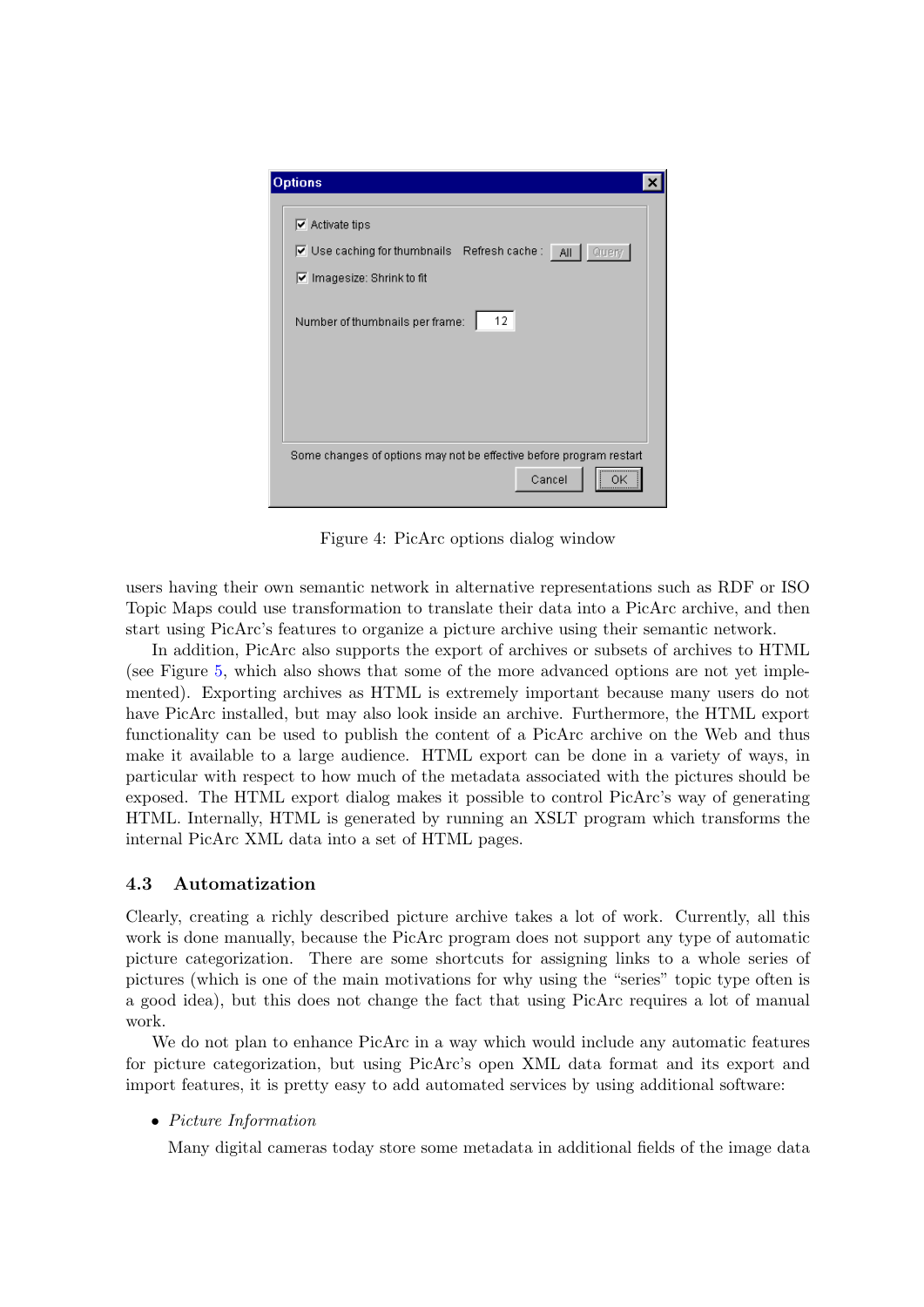<span id="page-9-0"></span>

| <b>Options</b>                                                                                                                                                                            |
|-------------------------------------------------------------------------------------------------------------------------------------------------------------------------------------------|
| $\overline{\triangledown}$ Activate tips<br>Use caching for thumbnails Refresh cache: All   Query  <br>$\triangledown$ Imagesize: Shrink to fit<br>12.<br>Number of thumbnails per frame: |
| Some changes of options may not be effective before program restart<br>Cancel<br>ΩK                                                                                                       |

Figure 4: PicArc options dialog window

users having their own semantic network in alternative representations such as RDF or ISO Topic Maps could use transformation to translate their data into a PicArc archive, and then start using PicArc's features to organize a picture archive using their semantic network.

In addition, PicArc also supports the export of archives or subsets of archives to HTML (see Figure [5,](#page-10-0) which also shows that some of the more advanced options are not yet implemented). Exporting archives as HTML is extremely important because many users do not have PicArc installed, but may also look inside an archive. Furthermore, the HTML export functionality can be used to publish the content of a PicArc archive on the Web and thus make it available to a large audience. HTML export can be done in a variety of ways, in particular with respect to how much of the metadata associated with the pictures should be exposed. The HTML export dialog makes it possible to control PicArc's way of generating HTML. Internally, HTML is generated by running an XSLT program which transforms the internal PicArc XML data into a set of HTML pages.

## 4.3 Automatization

Clearly, creating a richly described picture archive takes a lot of work. Currently, all this work is done manually, because the PicArc program does not support any type of automatic picture categorization. There are some shortcuts for assigning links to a whole series of pictures (which is one of the main motivations for why using the "series" topic type often is a good idea), but this does not change the fact that using PicArc requires a lot of manual work.

We do not plan to enhance PicArc in a way which would include any automatic features for picture categorization, but using PicArc's open XML data format and its export and import features, it is pretty easy to add automated services by using additional software:

• Picture Information

Many digital cameras today store some metadata in additional fields of the image data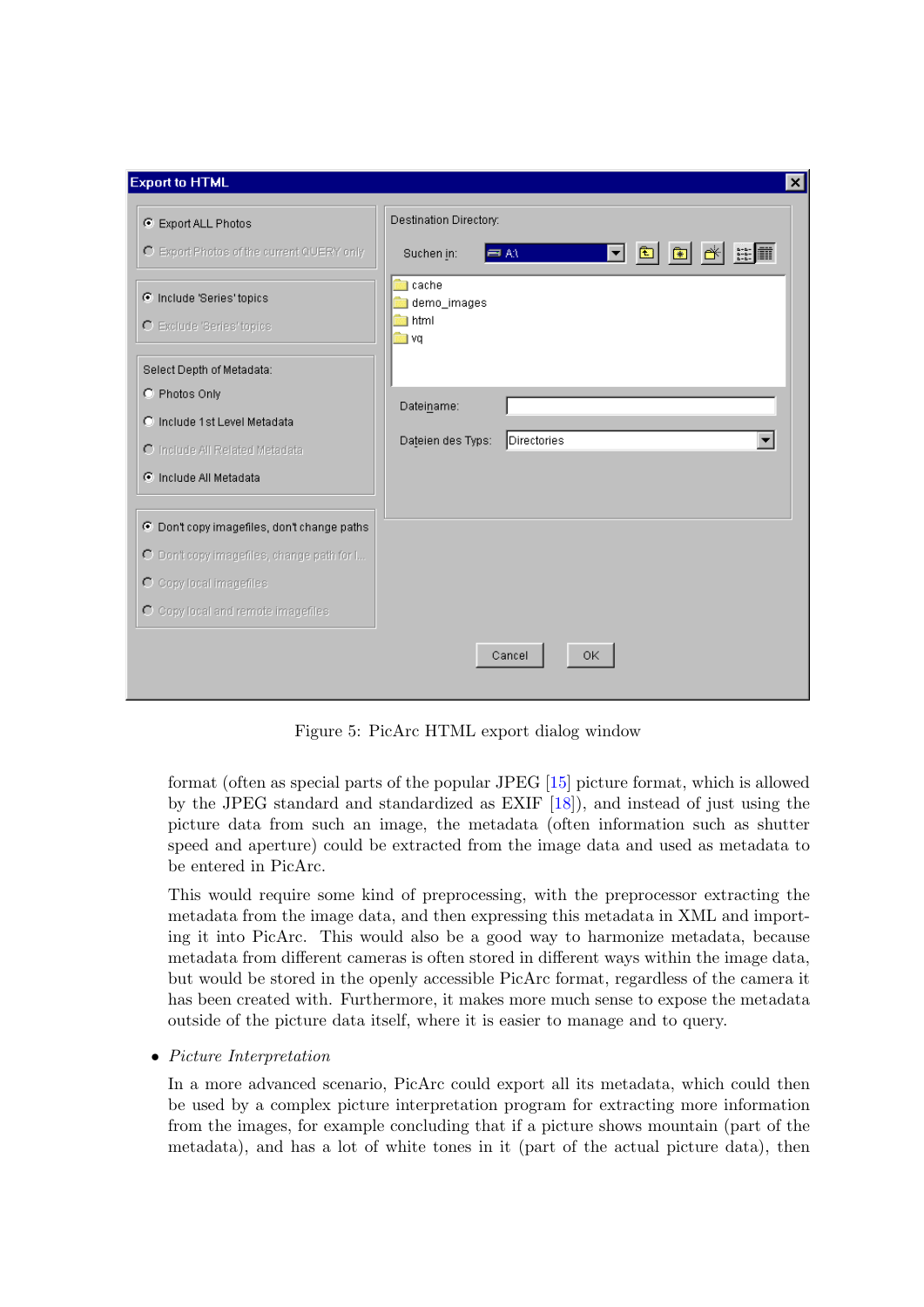<span id="page-10-0"></span>

| <b>Export to HTML</b>                                  | $\vert x \vert$                                                             |  |
|--------------------------------------------------------|-----------------------------------------------------------------------------|--|
| C Export ALL Photos                                    | Destination Directory:                                                      |  |
| O Export Photos of the current QUERY only              | $\mathbb{R}^2$<br>$\bullet$<br>▾╎<br>Suchen in:<br>$\equiv$ AN<br><b>SP</b> |  |
| C Include 'Series' topics<br>O Exclude 'Series' topics | cache<br>demo_images<br>1 html<br>— । vq                                    |  |
| Select Depth of Metadata:                              |                                                                             |  |
| C Photos Only                                          | Dateiname:                                                                  |  |
| C Include 1st Level Metadata                           |                                                                             |  |
| O Include All Related Metadata                         | Dateien des Typs:<br>Directories                                            |  |
| C Include All Metadata                                 |                                                                             |  |
| C Don't copy imagefiles, don't change paths            |                                                                             |  |
| O Don't copy imagefiles, change path for I             |                                                                             |  |
| O Copy local imagefiles                                |                                                                             |  |
| O Copy local and remote imagefiles                     |                                                                             |  |
|                                                        | OK.<br>Cancel                                                               |  |

Figure 5: PicArc HTML export dialog window

format (often as special parts of the popular JPEG [\[15\]](#page-13-0) picture format, which is allowed by the JPEG standard and standardized as EXIF [\[18\]](#page-13-0)), and instead of just using the picture data from such an image, the metadata (often information such as shutter speed and aperture) could be extracted from the image data and used as metadata to be entered in PicArc.

This would require some kind of preprocessing, with the preprocessor extracting the metadata from the image data, and then expressing this metadata in XML and importing it into PicArc. This would also be a good way to harmonize metadata, because metadata from different cameras is often stored in different ways within the image data, but would be stored in the openly accessible PicArc format, regardless of the camera it has been created with. Furthermore, it makes more much sense to expose the metadata outside of the picture data itself, where it is easier to manage and to query.

### • Picture Interpretation

In a more advanced scenario, PicArc could export all its metadata, which could then be used by a complex picture interpretation program for extracting more information from the images, for example concluding that if a picture shows mountain (part of the metadata), and has a lot of white tones in it (part of the actual picture data), then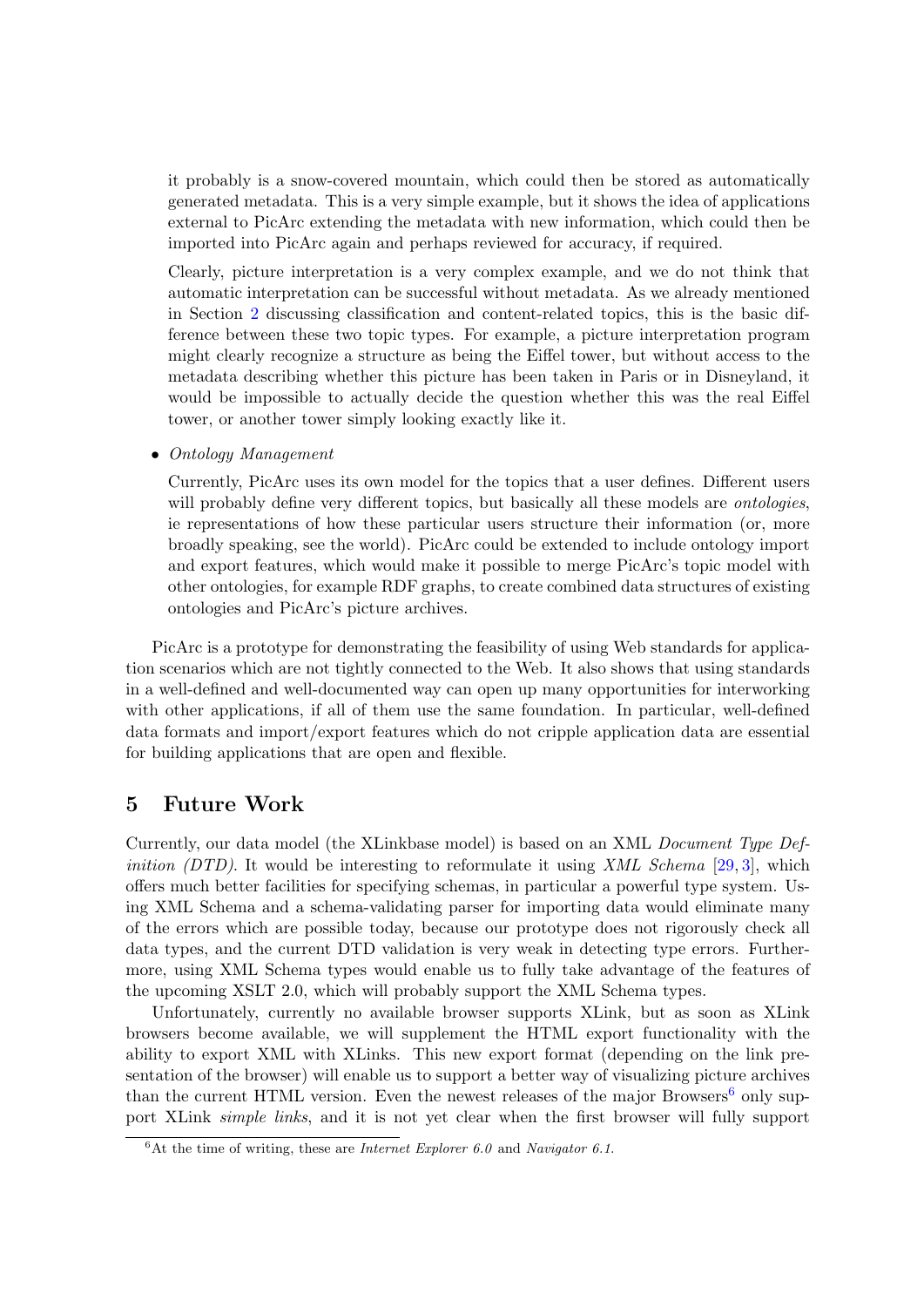<span id="page-11-0"></span>it probably is a snow-covered mountain, which could then be stored as automatically generated metadata. This is a very simple example, but it shows the idea of applications external to PicArc extending the metadata with new information, which could then be imported into PicArc again and perhaps reviewed for accuracy, if required.

Clearly, picture interpretation is a very complex example, and we do not think that automatic interpretation can be successful without metadata. As we already mentioned in Section [2](#page-1-0) discussing classification and content-related topics, this is the basic difference between these two topic types. For example, a picture interpretation program might clearly recognize a structure as being the Eiffel tower, but without access to the metadata describing whether this picture has been taken in Paris or in Disneyland, it would be impossible to actually decide the question whether this was the real Eiffel tower, or another tower simply looking exactly like it.

• Ontology Management

Currently, PicArc uses its own model for the topics that a user defines. Different users will probably define very different topics, but basically all these models are *ontologies*, ie representations of how these particular users structure their information (or, more broadly speaking, see the world). PicArc could be extended to include ontology import and export features, which would make it possible to merge PicArc's topic model with other ontologies, for example RDF graphs, to create combined data structures of existing ontologies and PicArc's picture archives.

PicArc is a prototype for demonstrating the feasibility of using Web standards for application scenarios which are not tightly connected to the Web. It also shows that using standards in a well-defined and well-documented way can open up many opportunities for interworking with other applications, if all of them use the same foundation. In particular, well-defined data formats and import/export features which do not cripple application data are essential for building applications that are open and flexible.

## 5 Future Work

Currently, our data model (the XLinkbase model) is based on an XML Document Type Def*inition (DTD)*. It would be interesting to reformulate it using XML Schema [\[29,](#page-14-0) [3\]](#page-13-0), which offers much better facilities for specifying schemas, in particular a powerful type system. Using XML Schema and a schema-validating parser for importing data would eliminate many of the errors which are possible today, because our prototype does not rigorously check all data types, and the current DTD validation is very weak in detecting type errors. Furthermore, using XML Schema types would enable us to fully take advantage of the features of the upcoming XSLT 2.0, which will probably support the XML Schema types.

Unfortunately, currently no available browser supports XLink, but as soon as XLink browsers become available, we will supplement the HTML export functionality with the ability to export XML with XLinks. This new export format (depending on the link presentation of the browser) will enable us to support a better way of visualizing picture archives than the current HTML version. Even the newest releases of the major Browsers<sup>6</sup> only support XLink *simple links*, and it is not yet clear when the first browser will fully support

 ${}^6$ At the time of writing, these are *Internet Explorer* 6.0 and *Navigator* 6.1.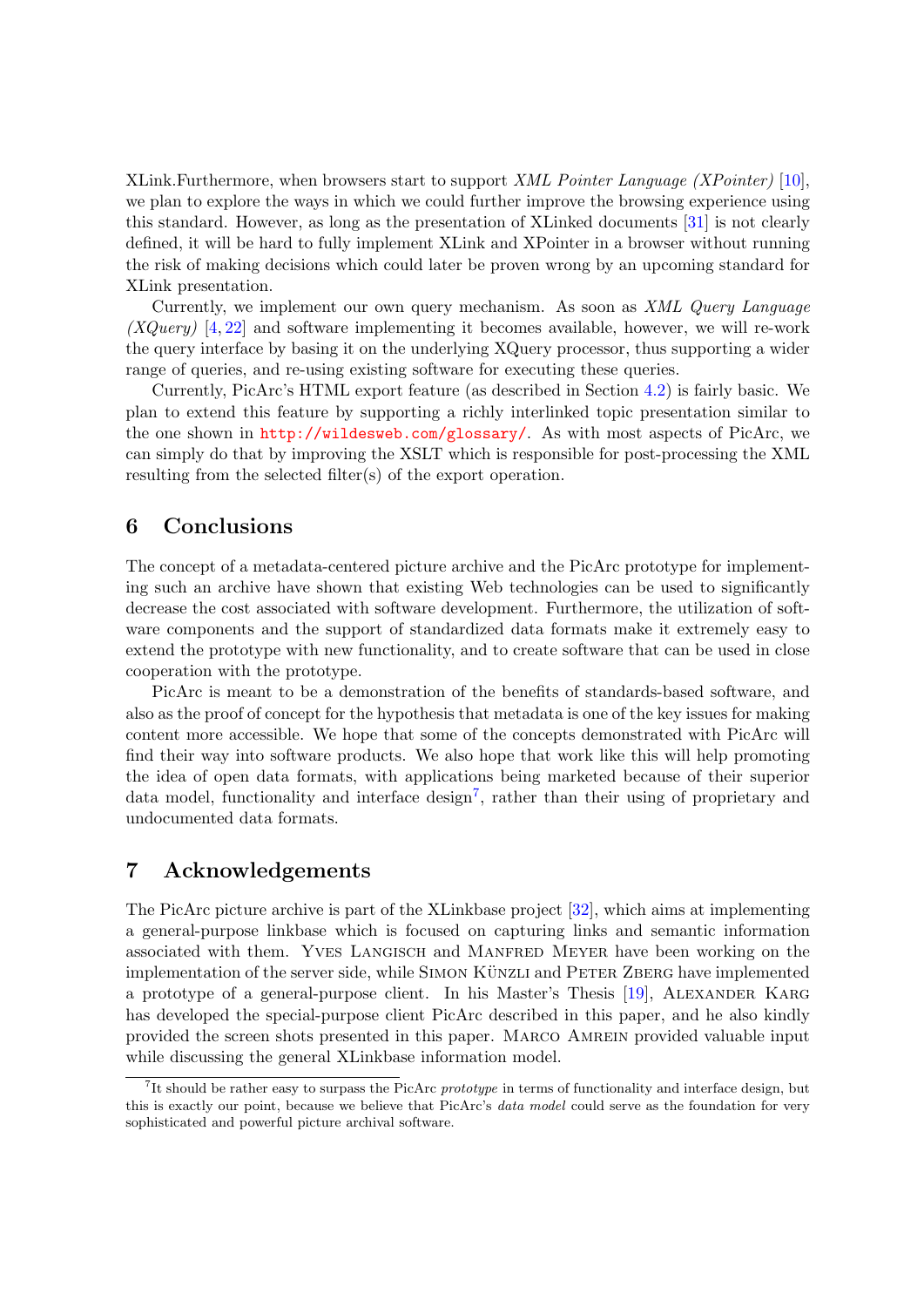<span id="page-12-0"></span>XLink.Furthermore, when browsers start to support XML Pointer Language (XPointer) [\[10\]](#page-13-0), we plan to explore the ways in which we could further improve the browsing experience using this standard. However, as long as the presentation of XLinked documents [\[31\]](#page-14-0) is not clearly defined, it will be hard to fully implement XLink and XPointer in a browser without running the risk of making decisions which could later be proven wrong by an upcoming standard for XLink presentation.

Currently, we implement our own query mechanism. As soon as XML Query Language  $(XQuery)$  [\[4,](#page-13-0) [22\]](#page-14-0) and software implementing it becomes available, however, we will re-work the query interface by basing it on the underlying XQuery processor, thus supporting a wider range of queries, and re-using existing software for executing these queries.

Currently, PicArc's HTML export feature (as described in Section [4.2\)](#page-8-0) is fairly basic. We plan to extend this feature by supporting a richly interlinked topic presentation similar to the one shown in <http://wildesweb.com/glossary/>. As with most aspects of PicArc, we can simply do that by improving the XSLT which is responsible for post-processing the XML resulting from the selected filter(s) of the export operation.

# 6 Conclusions

The concept of a metadata-centered picture archive and the PicArc prototype for implementing such an archive have shown that existing Web technologies can be used to significantly decrease the cost associated with software development. Furthermore, the utilization of software components and the support of standardized data formats make it extremely easy to extend the prototype with new functionality, and to create software that can be used in close cooperation with the prototype.

PicArc is meant to be a demonstration of the benefits of standards-based software, and also as the proof of concept for the hypothesis that metadata is one of the key issues for making content more accessible. We hope that some of the concepts demonstrated with PicArc will find their way into software products. We also hope that work like this will help promoting the idea of open data formats, with applications being marketed because of their superior data model, functionality and interface design<sup>7</sup>, rather than their using of proprietary and undocumented data formats.

# 7 Acknowledgements

The PicArc picture archive is part of the XLinkbase project [\[32\]](#page-14-0), which aims at implementing a general-purpose linkbase which is focused on capturing links and semantic information associated with them. Yves Langisch and Manfred Meyer have been working on the implementation of the server side, while SIMON KÜNZLI and PETER ZBERG have implemented a prototype of a general-purpose client. In his Master's Thesis [\[19\]](#page-13-0), Alexander Karg has developed the special-purpose client PicArc described in this paper, and he also kindly provided the screen shots presented in this paper. Marco Amrein provided valuable input while discussing the general XLinkbase information model.

<sup>&</sup>lt;sup>7</sup>It should be rather easy to surpass the PicArc prototype in terms of functionality and interface design, but this is exactly our point, because we believe that PicArc's data model could serve as the foundation for very sophisticated and powerful picture archival software.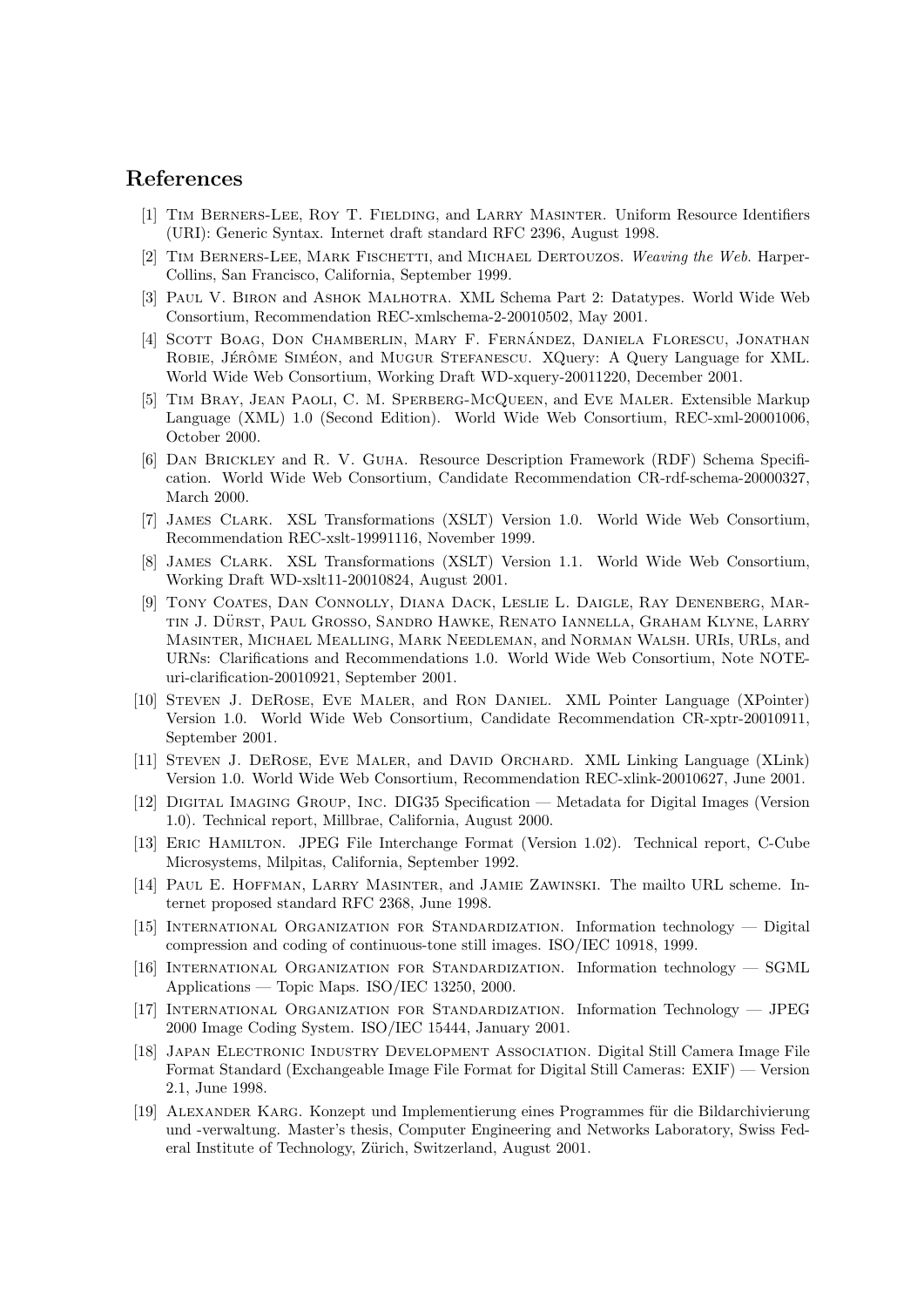# <span id="page-13-0"></span>References

- [1] Tim Berners-Lee, Roy T. Fielding, and Larry Masinter. Uniform Resource Identifiers (URI): Generic Syntax. Internet draft standard RFC 2396, August 1998.
- [2] TIM BERNERS-LEE, MARK FISCHETTI, and MICHAEL DERTOUZOS. Weaving the Web. Harper-Collins, San Francisco, California, September 1999.
- [3] Paul V. Biron and Ashok Malhotra. XML Schema Part 2: Datatypes. World Wide Web Consortium, Recommendation REC-xmlschema-2-20010502, May 2001.
- [4] SCOTT BOAG, DON CHAMBERLIN, MARY F. FERNÁNDEZ, DANIELA FLORESCU, JONATHAN ROBIE, JÉRÔME SIMÉON, and MUGUR STEFANESCU. XQuery: A Query Language for XML. World Wide Web Consortium, Working Draft WD-xquery-20011220, December 2001.
- [5] Tim Bray, Jean Paoli, C. M. Sperberg-McQueen, and Eve Maler. Extensible Markup Language (XML) 1.0 (Second Edition). World Wide Web Consortium, REC-xml-20001006, October 2000.
- [6] Dan Brickley and R. V. Guha. Resource Description Framework (RDF) Schema Specification. World Wide Web Consortium, Candidate Recommendation CR-rdf-schema-20000327, March 2000.
- [7] James Clark. XSL Transformations (XSLT) Version 1.0. World Wide Web Consortium, Recommendation REC-xslt-19991116, November 1999.
- [8] James Clark. XSL Transformations (XSLT) Version 1.1. World Wide Web Consortium, Working Draft WD-xslt11-20010824, August 2001.
- [9] Tony Coates, Dan Connolly, Diana Dack, Leslie L. Daigle, Ray Denenberg, Martin J. Dürst, Paul Grosso, Sandro Hawke, Renato Iannella, Graham Klyne, Larry Masinter, Michael Mealling, Mark Needleman, and Norman Walsh. URIs, URLs, and URNs: Clarifications and Recommendations 1.0. World Wide Web Consortium, Note NOTEuri-clarification-20010921, September 2001.
- [10] Steven J. DeRose, Eve Maler, and Ron Daniel. XML Pointer Language (XPointer) Version 1.0. World Wide Web Consortium, Candidate Recommendation CR-xptr-20010911, September 2001.
- [11] Steven J. DeRose, Eve Maler, and David Orchard. XML Linking Language (XLink) Version 1.0. World Wide Web Consortium, Recommendation REC-xlink-20010627, June 2001.
- [12] Digital Imaging Group, Inc. DIG35 Specification Metadata for Digital Images (Version 1.0). Technical report, Millbrae, California, August 2000.
- [13] Eric Hamilton. JPEG File Interchange Format (Version 1.02). Technical report, C-Cube Microsystems, Milpitas, California, September 1992.
- [14] Paul E. Hoffman, Larry Masinter, and Jamie Zawinski. The mailto URL scheme. Internet proposed standard RFC 2368, June 1998.
- [15] International Organization for Standardization. Information technology Digital compression and coding of continuous-tone still images. ISO/IEC 10918, 1999.
- [16] International Organization for Standardization. Information technology SGML Applications — Topic Maps. ISO/IEC 13250, 2000.
- [17] International Organization for Standardization. Information Technology JPEG 2000 Image Coding System. ISO/IEC 15444, January 2001.
- [18] Japan Electronic Industry Development Association. Digital Still Camera Image File Format Standard (Exchangeable Image File Format for Digital Still Cameras: EXIF) — Version 2.1, June 1998.
- [19] ALEXANDER KARG. Konzept und Implementierung eines Programmes für die Bildarchivierung und -verwaltung. Master's thesis, Computer Engineering and Networks Laboratory, Swiss Federal Institute of Technology, Zürich, Switzerland, August 2001.